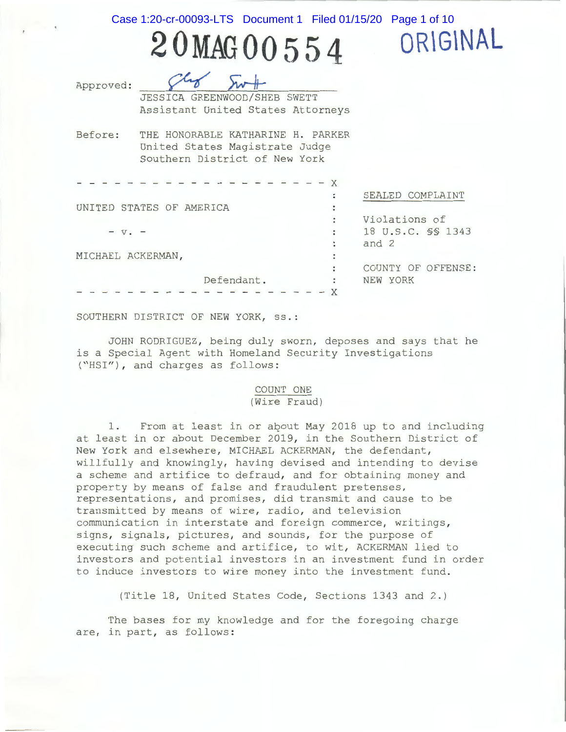Case 1:20-cr-00093-LTS Document 1 Filed 01/15/20 Page 1 of 10

**OR\G\NAL** 

**20MAG00554**  JESSICA GREENWOOD/SHEB SWETT

Approved :

Assistant United States Attorneys

Before: THE HONORABLE KATHARINE H. PARKER United States Magistrate Judge Southern District of New York

|                          |            |                | SEALED COMPLAINT   |
|--------------------------|------------|----------------|--------------------|
| UNITED STATES OF AMERICA |            |                |                    |
|                          |            |                | Violations of      |
| $- v -$                  |            | $\ddot{\cdot}$ | 18 U.S.C. SS 1343  |
|                          |            |                | and 2              |
| MICHAEL ACKERMAN,        |            |                |                    |
|                          |            |                | COUNTY OF OFFENSE: |
|                          | Defendant. | ÷              | NEW YORK           |
|                          |            |                |                    |

SOUTHERN DISTRICT OF NEW YORK, ss .:

JOHN RODRIGUEZ, being duly sworn, deposes and says that he is a Special Agent with Homeland Security Investigations ("HSI"), and charges as follows:

## COUNT ONE (Wire Fraud)

1. From at least in or about May 2018 up to and including at least in or about December 2019, in the Southern District of New York and elsewhere, MICHAEL ACKERMAN, the defendant, willfully and knowingly, having devised and intending to devise a scheme and artifice to defraud, and for obtaining money and property by means of false and fraudulent pretenses, representations, and promises, did transmit and cause to be transmitted by means of wire, radio, and television communication in interstate and foreign commerce, writings, signs, signals, pictures, and sounds, for the purpose of executing such scheme and artifice, to wit, ACKERMAN lied to investors and potential investors in an investment fund in order to induce investors to wire money into the investment fund.

(Title 18, United States Code, Sections 1343 and 2.)

The bases for my knowledge and for the foregoing charge are, in part, as follows: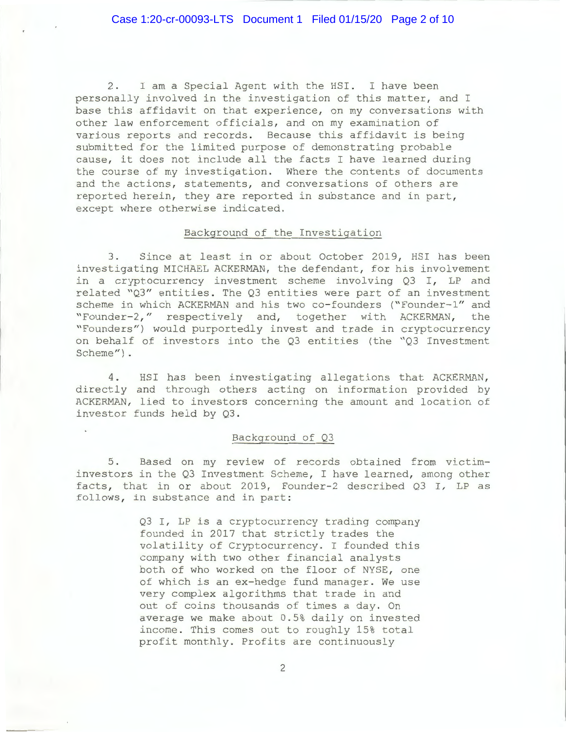2. I am a Special Agent with the HSI. I have been personally involved in the investigation of this matter, and I base this affidavit on that experience, on my conversations with other law enforcement officials, and on my examination of various reports and records . Because this affidavit is being submitted for the limited purpose of demonstrating probable cause, it does not include all the facts I have learned during the course of my investigation. Where the contents of documents and the actions, statements, and conversations of others are reported herein, they are reported in substance and in part, except where otherwise indicated.

## Background of the Investigation

3. Since at least in or about October 2019, HSI has been investigating MICHAEL ACKERMAN, the defendant, for his involvement in a cryptocurrency investment scheme involving Q3 I, LP and related "03" entities. The Q3 entities were part of an investment scheme in which ACKERMAN and his two co-founders ("Founder-1" and "Founder-2," respectively and, together with ACKERMAN, the " Founders " ) would purportedly invest and trade in cryptocurrency on behalf of investors into the Q3 entities (the "Q3 Investment Scheme").

4. HSI has been investigating allegations that ACKERMAN, directly and through others acting on information provided by ACKERMAN, lied to investors concerning the amount and location of investor funds held by Q3 .

## Background of Q3

5. Based on my review of records obtained from victiminvestors in the Q3 Investment Scheme, I have learned, among other facts, that in or about 2019, Founder-2 described Q3 I, LP as follows, in substance and in part:

> Q3 I, LP is a cryptocurrency trading company founded in 2017 that strictly trades the volatility of Cryptocurrency. I founded this company with two other financial analysts both of who worked on the floor of NYSE, one of which is an ex-hedge fund manager. We use very complex algorithms that trade in and out of coins thousands of times a day. On average we make about 0 . 5% daily on invested income. This comes out to roughly 15% total profit monthly. Profits are continuously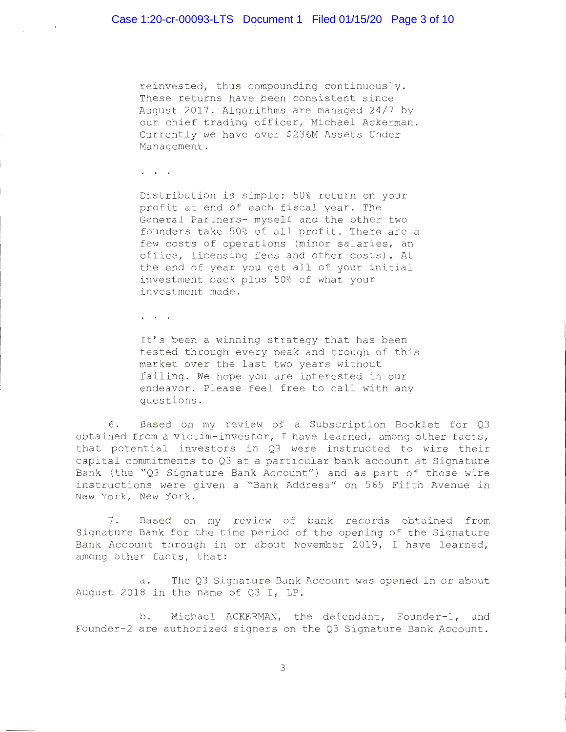reinvested, thus compounding continuously . These returns have been consistent since August 2017 . Algorithms are managed 24/7 by our chief trading officer, Michael Ackerman. Currently we have over \$236M Assets Under Management .

 $\mathbf{r}=\mathbf{r}+\mathbf{r}$  .

 $\sim$   $\sim$ 

Distribution is simple: 50% return on your profit at end of each fiscal year. The General Partners- myself and the other two founders take 50% of all profit. There are a few costs of operations (minor salaries, an office, licensing fees and other costs). At the end of year you get all of your initial investment back plus 50% of what your investment made .

 $\mathbf{r} = \mathbf{r} - \mathbf{r}$ 

It's been a winning strategy that has been tested through every peak and trough of this market over the last two years without failing. We hope you are interested in our endeavor. Please feel free to call with any questions .

6. Based on my review of a Subscription Booklet for Q3 obtained from a victim-investor, I have learned, among other facts, that potential investors in Q3 were instructed to wire their capital commitments to Q3 at a particular bank account at Signature Bank (the "Q3 Signature Bank Account") and as part of those wire instructions were given a "Bank Address" on 565 Fifth Avenue in New York, New York.

7. Based on my review of bank records obtained from Signature Bank for the time period of the opening of the Signature Bank Account through in or about November 2019, I have learned, among other facts, that:

a. The Q3 Signature Bank Account was opened in or about August 2018 in the name of  $Q3$  I, LP.

b. Michael ACKERMAN, the defendant, Founder-1, and Founder-2 are authorized signers on the Q3 Signature Bank Account.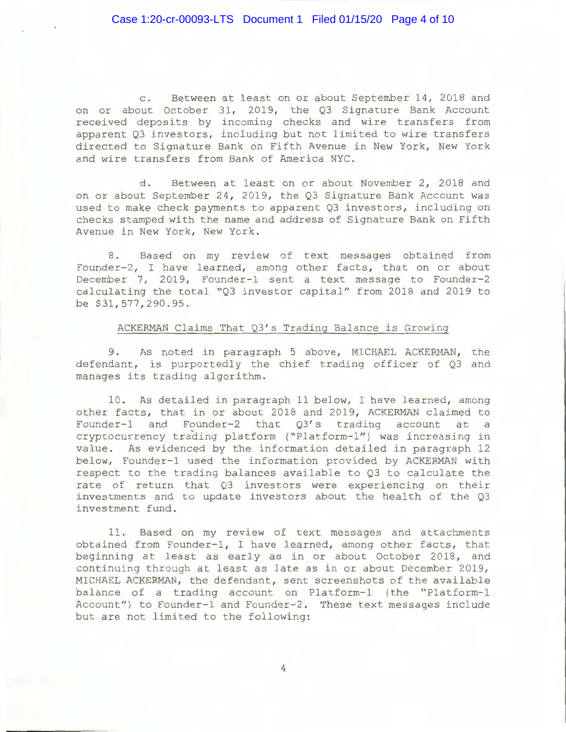c. Between at least on or about September 14, 2018 and on or about October 31, 2019, the Q3 Signature Bank Account received deposits by incoming checks and wire transfers from apparent Q3 investors, including but not limited to wire transfers directed to Signature Bank on Fifth Avenue in New York , New York and wire transfers from Bank of America NYC.

d. Between at least on or about November 2, 2018 and on or about September 24, 2019, the Q3 Signature Bank Account was used to make check payments to apparent Q3 investors, including on checks stamped with the name and address of Signature Bank on Fifth Avenue in New York, New York.

8. Based on my review of text messages obtained from Founder-2, I have learned, among other facts, that on or about December 7, 2019, Founder-1 sent a text message to Founder-2 calculating the total "Q3 investor capital" from 2018 and 2019 to be \$31,577,290.95.

## ACKERMAN Claims That Q3's Trading Balance is Growing

9. As noted in paragraph 5 above, MICHAEL ACKERMAN, the defendant, is purportedly the chief trading officer of  $Q3$  and manages its trading algorithm.

10 . As detailed in paragraph 11 below, I have learned, among other facts, that in or about 2018 and 2019, ACKERMAN claimed to Founder-1 and Founder-2 that  $Q3's$  trading account at a cryptocurrency trading platform ("Platform-1") was increasing in value. As evidenced by the information detailed in paragraph 12 below, Founder-1 used the information provided by ACKERMAN with respect to the trading balances available to Q3 to calculate the rate of return that Q3 investors were experiencing on their investments and to update investors about the health of the  $Q3$ investment fund.

11. Based on my review of text messages and attachments obtained from Founder-1, I have learned, among other facts, that beginning at least as early as in or about October 2018, and continuing through at least as late as in or about December 2019, MICHAEL ACKERMAN, the defendant, sent screenshots of the available balance of a trading account on Platform-1 (the "Platform-1 Account") to Founder-1 and Founder-2. These text messages include but are not limited to the following:

4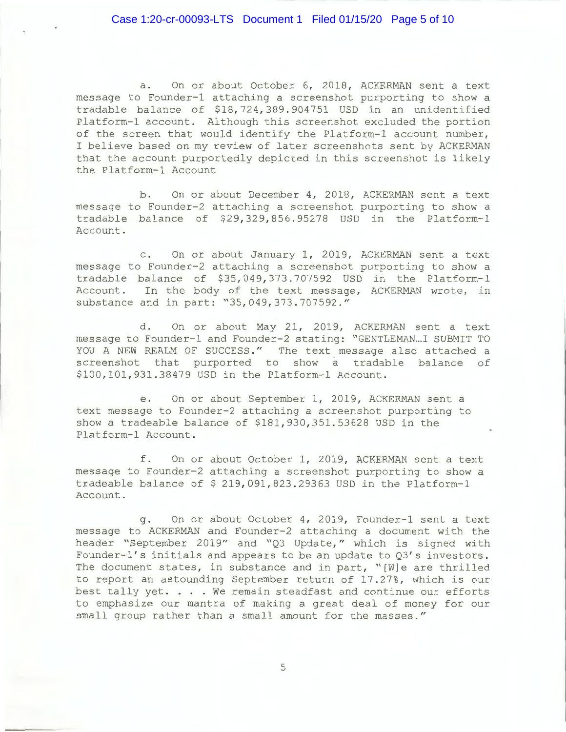# Case 1:20-cr-00093-LTS Document 1 Filed 01/15/20 Page 5 of 10

a. On or about October 6, 2018, ACKERMAN sent a text message to Founder-1 attaching a screenshot purporting to show a tradable balance of \$18,724,389.904751 USD in an unidentified Platform-1 account. Although this screenshot excluded the portion of the screen that would identify the Platform-1 account number, I believe based on my review of later screenshots sent by ACKERMAN that the account purportedly depicted in this screenshot is likely the Platform-1 Account

b. On or about December 4, 2018, ACKERMAN sent a text message to Founder-2 attaching a screenshot purporting to show a tradable balance of  $$29,329,856.95278$  USD in the Platform-1 Account.

c. On or about January 1, 2019, ACKERMAN sent a text message to Founder-2 attaching a screenshot purporting to show a tradable balance of  $$35,049,373.707592$  USD in the Platform-1 Account. In the body of the text message, ACKERMAN wrote, in substance and in part: "35,049,373.707592."

d. On or about May 21, 2019, ACKERMAN sent a text message to Founder-1 and Founder-2 stating: "GENTLEMAN...I SUBMIT TO YOU A NEW REALM OF SUCCESS." The text message also attached a screenshot that purported to show a tradable balance of \$100, 101, 931.38479 USD in the Platform-1 Account.

e. On or about September 1, 2019, ACKERMAN sent a text message to Founder-2 attaching a screenshot purporting to show a tradeable balance of \$181, 930, 351.53628 USD in the Platform-1 Account.

f . On or about October **1 ,** 2019 , ACKERMAN sent a text message to Founder-2 attaching a screenshot purporting to show a tradeable balance of  $$219, 091, 823. 29363$  USD in the Platform-1 Account .

g. On or about October 4, 2019, Founder-1 sent a text message to ACKERMAN and Founder-2 attaching a document with the header "September 2019" and "Q3 Update," which is signed with Founder-1's initials and appears to be an update to 03's investors. The document states, in substance and in part, "[W]e are thrilled Ine document states, in substance and in part, (we are chiffled<br>to report an astounding September return of 17.27%, which is our<br>best tally yet.... We remain steadfast and continue our efforts to emphasize our mantra of making a great deal of money for our small group rather than a small amount for the masses ."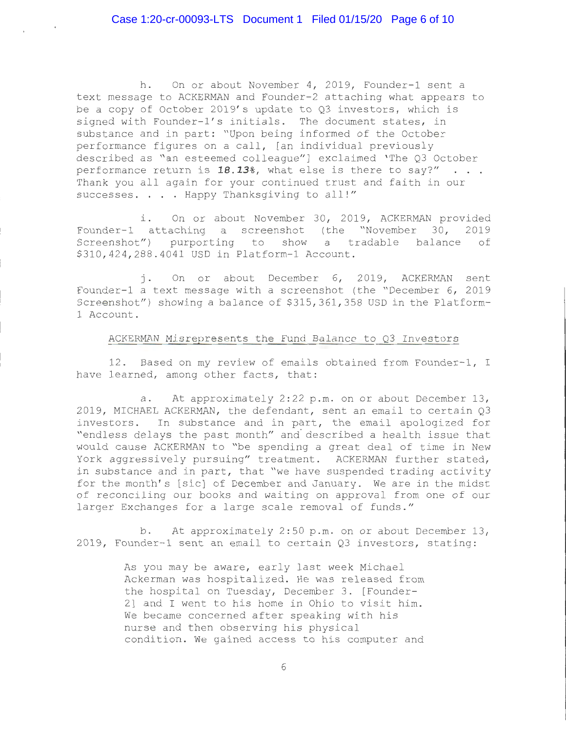h. On or about November 4, 2019, Founder-1 sent a text message to ACKERMAN and Founder-2 attaching what appears to be a copy of October 2019's update to  $Q3$  investors, which is signed with Founder-1's initials. The document states, in substance and in part: "Upon being informed of the October performance figures on a call, [an individual previously described as "an esteemed colleague"] exclaimed 'The Q3 October performance return is 18.13%, what else is there to say?" . . . Thank you all again for your continued trust and faith in our successes. . . . Happy Thanksgiving to all!"

i. On or about November 30, 2019, ACKERMAN provided Founder-1 attaching a screenshot (the "November 30, 2019 Screenshot") purporting to show a tradable balance of \$310, 424, 288.4041 USD in Platform-1 Account.

j. On or about December 6, 2019, ACKERMAN sent Founder-1 a text message with a screenshot (the "December 6, 2019 Screenshot") showing a balance of \$315,361,358 USD in the Platform-1 Account .

## ACKERMAN Misrepresents the Fund Balance to Q3 Investors

12. Based on my review of emails obtained from Founder-1, I have learned, among other facts, that:

a. At approximately  $2:22$  p.m. on or about December 13, 2019, MICHAEL ACKERMAN, the defendant, sent an email to certain Q3 investors. In substance and in part, the email apologized for " endless delays the past month" and· described a health issue that would cause ACKERMAN to "be spending a great deal of time in New York aggressively pursuing" treatment. ACKERMAN further stated, in substance and in part, that "we have suspended trading activity for the month's [sic] of December and January. We are in the midst of reconciling our books and waiting on approval from one of our larger Exchanges for a large scale removal of funds ."

b. At approximately 2:50 p.m. on or about December 13, 2019, Founder-1 sent an email to certain  $Q3$  investors, stating:

> As you may be aware, early last week Michael Ackerman was hospitalized. He was released from the hospital on Tuesday, December 3. [Founder-2] and I went to his home in Ohio to visit him . We became concerned after speaking with his nurse and then observing his physical condition. We gained access to his computer and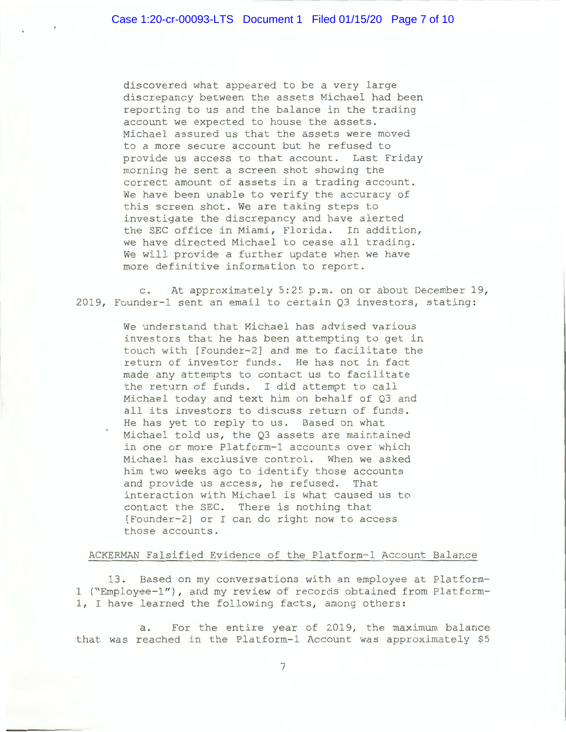discovered what appeared to be a very large discrepancy between the assets Michael had been reporting to us and the balance in the trading account we expected to house the assets . Michael assured us that the assets were moved to a more secure account but he refused to provide us access to that account. Last Friday morning he sent a screen shot showing the correct amount of assets in a trading account. We have been unable to verify the accuracy of this screen shot. We are taking steps to investigate the discrepancy and have alerted the SEC office in Miami, Florida. In addition, we have directed Michael to cease all trading. We will provide a further update when we have more definitive information to report .

c. At approximately 5:25 p.m. on or about December 19, 2019, Founder-1 sent an email to certain  $Q3$  investors, stating:

> We understand that Michael has advised various investors that he has been attempting to get in touch with [Founder-2] and me to facilitate the return of investor funds. He has not in fact made any attempts to contact us to facilitate the return of funds. I did attempt to call Michael today and text him on behalf of Q3 and all its investors to discuss return of funds . He has yet to reply to us. Based on what Michael told us, the Q3 assets are maintained in one or more Platform-1 accounts over which Michael has exclusive control. When we asked him two weeks ago to identify those accounts and provide us access, he refused. That interaction with Michael is what caused us to contact the SEC. There is nothing that [Founder-2] or I can do right now to access those accounts .

## ACKERMAN Falsified Evidence of the Platform-1 Account Balance

13. Based on my conversations with an employee at Platform-1 ("Employee-1"), and my review of records obtained from Platform-1, I have learned the following facts, among others:

a. For the entire year of 2019, the maximum balance that was reached in the Platform-1 Account was approximately \$5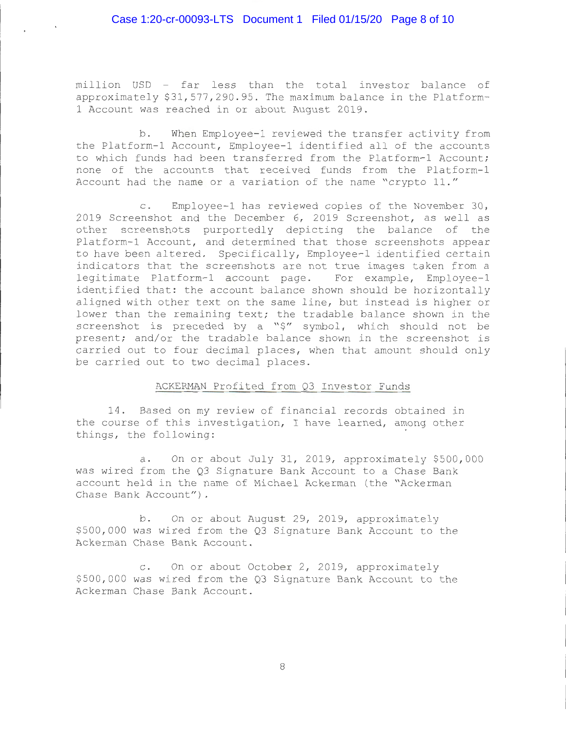million USD - far less than the total investor balance of approximately \$31,577,290.95. The maximum balance in the Platform-1 Account was reached in or about August 2019 .

b. When Employee-1 reviewed the transfer activity from the Platform-1 Account, Employee-1 identified all of the accounts to which funds had been transferred from the Platform-1 Account; none of the accounts that received funds from the Platform-1 Account had the name or a variation of the name "crypto 11."

c. Employee-1 has reviewed copies of the November 30, 2019 Screenshot and the December 6, 2019 Screenshot, as well as other screenshots purportedly depicting the balance of the Platform-1 Account, and determined that those screenshots appear to have been altered. Specifically, Employee-1 identified certain indicators that the screenshots are not true images taken from a legitimate Platform-1 account page. For example, Employee-1 identified that: the account balance shown should be horizontally aligned with other text on the same line, but instead is higher or lower than the remaining text; the tradable balance shown in the screenshot is preceded by a "\$" symbol, which should not be present; and/or the tradable balance shown in the screenshot is carried out to four decimal places, when that amount should only be carried out to two decimal places.

## ACKERMAN Profited from Q3 Investor Funds

14. Based on my review of financial records obtained in the course of this investigation, I have learned, among other things, the following:

a. On or about July 31, 2019, approximately \$500,000 was wired from the Q3 Signature Bank Account to a Chase Bank account held in the name of Michael Ackerman (the "Ackerman Chase Bank Account") .

b. On or about August 29, 2019, approximately \$500 , 000 was wired from the Q3 Signature Bank Account to the Ackerman Chase Bank Account .

c. On or about October 2, 2019, approximately \$500 , 000 was wired from the Q3 Signature Bank Account to the Ackerman Chase Bank Account .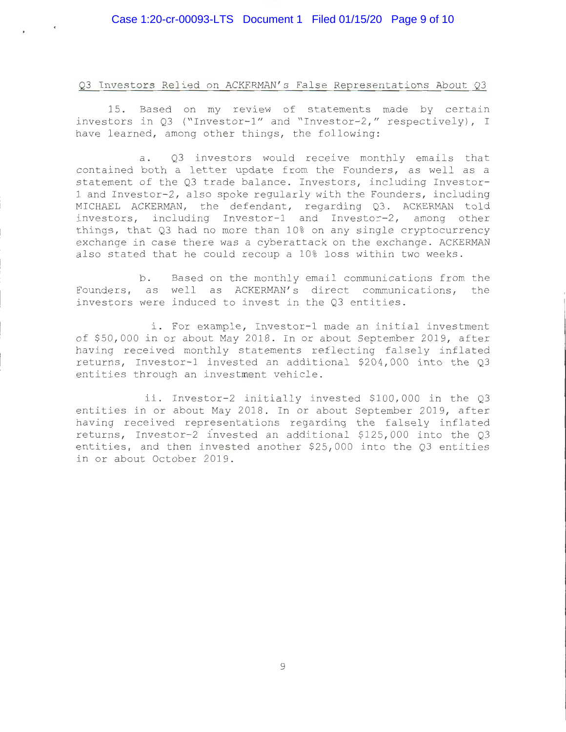. .

## Q3 Investors Relied on ACKERMAN's False Representations About Q3

15. Based on my review of statements made by certain investors in Q3 ("Investor-1" and "Investor-2," respectively), I have learned, among other things, the following:

a. Q3 investors would receive monthly emails that contained both a letter update from the Founders, as well as a statement of the Q3 trade balance. Investors, including Investor-1 and Investor-2, also spoke regularly with the Founders, including MICHAEL ACKERMAN, the defendant, regarding Q3. ACKERMAN told investors, including Investor-1 and Investor-2, among other things, that  $Q3$  had no more than  $10\frac{8}{3}$  on any single cryptocurrency exchange in case there was a cyberattack on the exchange. ACKERMAN also stated that he could recoup a 10% loss within two weeks.

b. Based on the monthly email communications from the Founders, as well as ACKERMAN's direct communications, the investors were induced to invest in the Q3 entities.

i. For example, Investor-1 made an initial investment of \$50 , 000 in or about May 2018 . In or about September 2019 , after having received monthly statements reflecting falsely inflated returns, Investor-1 invested an additional  $$204,000$  into the Q3 entities through an investment vehicle .

ii. Investor-2 initially invested \$100,000 in the Q3 entities in or about May 2018. In or about September 2019, after having received representations regarding the falsely inflated returns, Investor-2 invested an additional \$125,000 into the  $Q3$ entities, and then invested another \$25,000 into the Q3 entities in or about October 2019.